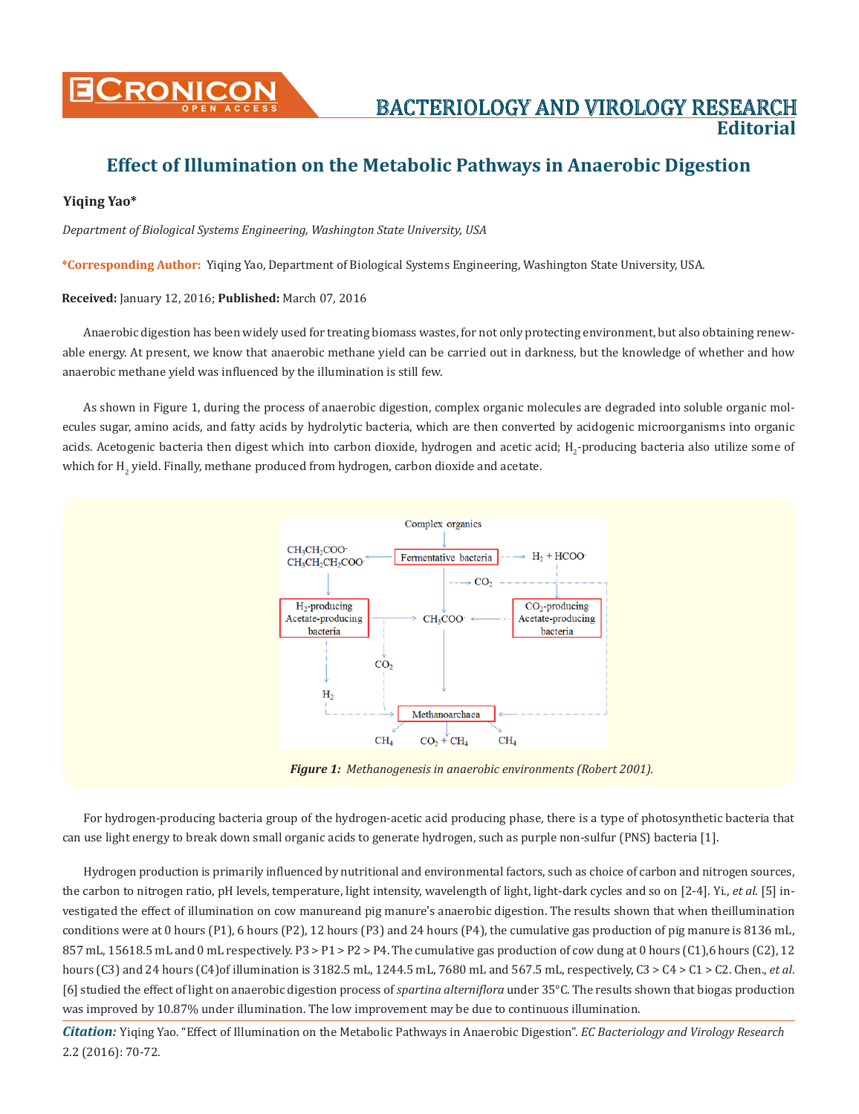

# **Effect of Illumination on the Metabolic Pathways in Anaerobic Digestion**

## **Yiqing Yao\***

*Department of Biological Systems Engineering, Washington State University, USA*

**\*Corresponding Author:** Yiqing Yao, Department of Biological Systems Engineering, Washington State University, USA.

#### **Received:** January 12, 2016; **Published:** March 07, 2016

Anaerobic digestion has been widely used for treating biomass wastes, for not only protecting environment, but also obtaining renewable energy. At present, we know that anaerobic methane yield can be carried out in darkness, but the knowledge of whether and how anaerobic methane yield was influenced by the illumination is still few.

As shown in Figure 1, during the process of anaerobic digestion, complex organic molecules are degraded into soluble organic molecules sugar, amino acids, and fatty acids by hydrolytic bacteria, which are then converted by acidogenic microorganisms into organic acids. Acetogenic bacteria then digest which into carbon dioxide, hydrogen and acetic acid;  ${\tt H_2}$ -producing bacteria also utilize some of which for  $\text{H}_{\text{2}}$  yield. Finally, methane produced from hydrogen, carbon dioxide and acetate.



*Figure 1: Methanogenesis in anaerobic environments (Robert 2001).*

For hydrogen-producing bacteria group of the hydrogen-acetic acid producing phase, there is a type of photosynthetic bacteria that can use light energy to break down small organic acids to generate hydrogen, such as purple non-sulfur (PNS) bacteria [1].

Hydrogen production is primarily influenced by nutritional and environmental factors, such as choice of carbon and nitrogen sources, the carbon to nitrogen ratio, pH levels, temperature, light intensity, wavelength of light, light-dark cycles and so on [2-4]. Yi., *et al*. [5] investigated the effect of illumination on cow manureand pig manure's anaerobic digestion. The results shown that when theillumination conditions were at 0 hours (P1), 6 hours (P2), 12 hours (P3) and 24 hours (P4), the cumulative gas production of pig manure is 8136 mL, 857 mL, 15618.5 mL and 0 mL respectively. P3 > P1 > P2 > P4. The cumulative gas production of cow dung at 0 hours (C1),6 hours (C2), 12 hours (C3) and 24 hours (C4)of illumination is 3182.5 mL, 1244.5 mL, 7680 mL and 567.5 mL, respectively, C3 > C4 > C1 > C2. Chen., *et al*. [6] studied the effect of light on anaerobic digestion process of *spartina alterniflora* under 35°C. The results shown that biogas production was improved by 10.87% under illumination. The low improvement may be due to continuous illumination.

*Citation:* Yiqing Yao. "Effect of Illumination on the Metabolic Pathways in Anaerobic Digestion". *EC Bacteriology and Virology Research* 2.2 (2016): 70-72.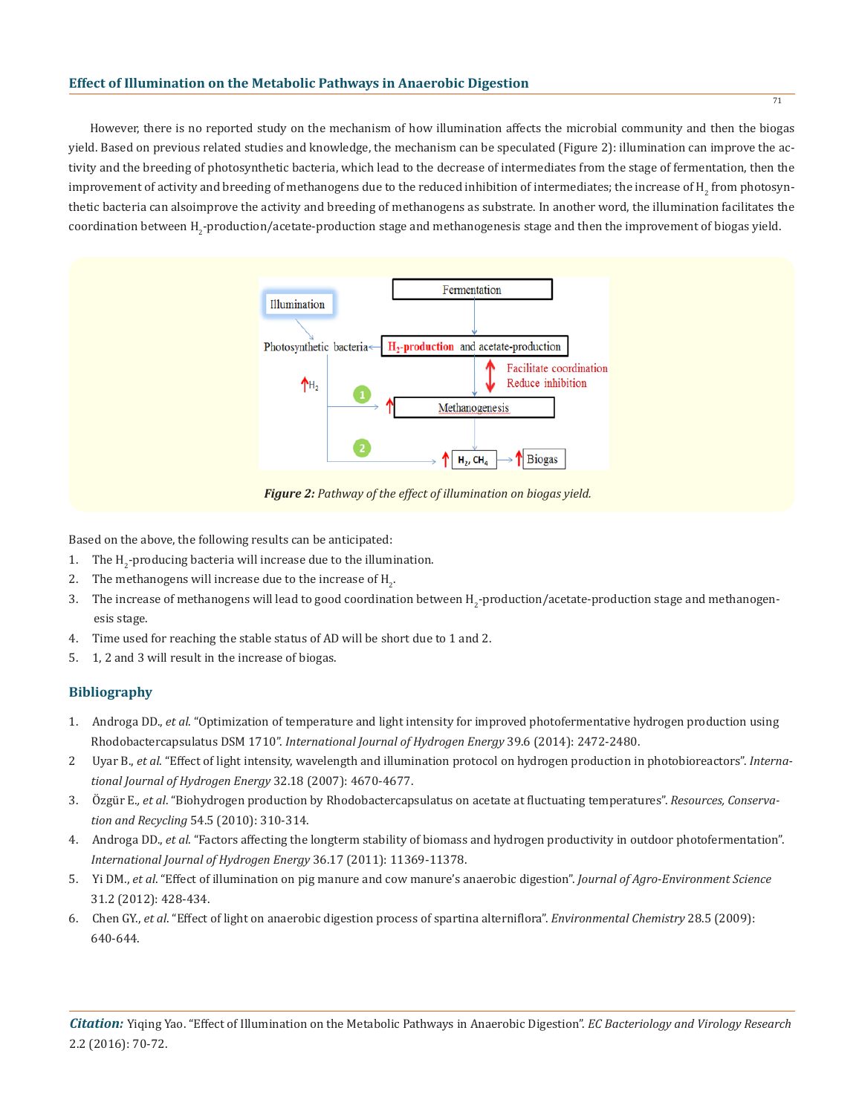## **Effect of Illumination on the Metabolic Pathways in Anaerobic Digestion**

However, there is no reported study on the mechanism of how illumination affects the microbial community and then the biogas yield. Based on previous related studies and knowledge, the mechanism can be speculated (Figure 2): illumination can improve the activity and the breeding of photosynthetic bacteria, which lead to the decrease of intermediates from the stage of fermentation, then the improvement of activity and breeding of methanogens due to the reduced inhibition of intermediates; the increase of  $\mathtt{H}_2$  from photosynthetic bacteria can alsoimprove the activity and breeding of methanogens as substrate. In another word, the illumination facilitates the coordination between H<sub>2</sub>-production/acetate-production stage and methanogenesis stage and then the improvement of biogas yield.



*Figure 2: Pathway of the effect of illumination on biogas yield.*

Based on the above, the following results can be anticipated:

- $1.$  The  $H_2$ -producing bacteria will increase due to the illumination.
- 2. The methanogens will increase due to the increase of  $H_2$ .
- 3. The increase of methanogens will lead to good coordination between H<sub>2</sub>-production/acetate-production stage and methanogenesis stage.
- 4. Time used for reaching the stable status of AD will be short due to 1 and 2.
- 5. 1, 2 and 3 will result in the increase of biogas.

# **Bibliography**

- 1. Androga DD., *et al*. "Optimization of temperature and light intensity for improved photofermentative hydrogen production using Rhodobactercapsulatus DSM 1710". *International Journal of Hydrogen Energy* 39.6 (2014): 2472-2480.
- 2 Uyar B., *et al*. "Effect of light intensity, wavelength and illumination protocol on hydrogen production in photobioreactors". *Interna tional Journal of Hydrogen Energy* 32.18 (2007): 4670-4677.
- 3. Özgür E.*, et al*. "Biohydrogen production by Rhodobactercapsulatus on acetate at fluctuating temperatures". *Resources, Conserva tion and Recycling* 54.5 (2010): 310-314.
- 4. Androga DD., *et al*. "Factors affecting the longterm stability of biomass and hydrogen productivity in outdoor photofermentation". *International Journal of Hydrogen Energy* 36.17 (2011): 11369-11378.
- 5. Yi DM., *et al*. "Effect of illumination on pig manure and cow manure's anaerobic digestion". *Journal of Agro-Environment Science* 31.2 (2012): 428-434.
- 6. Chen GY., *et al*. "Effect of light on anaerobic digestion process of spartina alterniflora". *Environmental Chemistry* 28.5 (2009): 640-644.